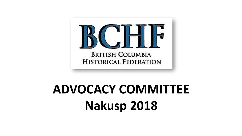

# **ADVOCACY COMMITTEE Nakusp 2018**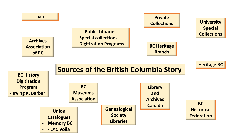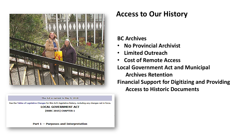![](_page_2_Picture_0.jpeg)

This Act is current to May 9, 2018

See the Tables of Legislative Changes for this Act's legislative history, including any changes not in force. **LOCAL GOVERNMENT ACT** 

**[RSBC 2015] CHAPTER 1** 

Part  $1$  – Purposes and Interpretation

### **Access to Our History**

#### **BC Archives**

- **No Provincial Archivist**
- **Limited Outreach**
- **Cost of Remote Access**

**Local Government Act and Municipal Archives Retention Financial Support for Digitizing and Providing Access to Historic Documents**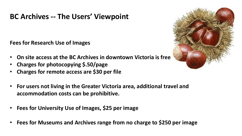## **BC Archives -- The Users' Viewpoint**

**Fees for Research Use of Images**

- **On site access at the BC Archives in downtown Victoria is free**
- **Charges for photocopying \$.50/page**
- **Charges for remote access are \$30 per file**
- **For users not living in the Greater Victoria area, additional travel and accommodation costs can be prohibitive.**
- **Fees for University Use of Images, \$25 per image**
- **Fees for Museums and Archives range from no charge to \$250 per image**

![](_page_3_Picture_8.jpeg)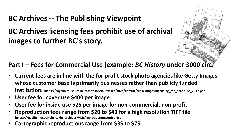# **BC Archives -- The Publishing Viewpoint**

**BC Archives licensing fees prohibit use of archival images to further BC's story.** 

### **Part I – Fees for Commercial Use (example:** *BC History* **under 3000 circ.**

- **Current fees are in line with the for-profit stock photo agencies like Getty Images whose customer base is primarily businesses rather than publicly funded institution. https://royalbcmuseum.bc.ca/sites/default/files/sites/default/files/images/licensing\_fee\_schedule\_2017.pdf**
- **User fee for cover use \$400 per image**
- **User fee for inside use \$25 per image for non-commercial, non-profit**
- **Reproduction fees range from \$20 to \$40 for a high resolution TIFF file https://royalbcmuseum.bc.ca/bc-archives/visit/reproductions#price-list**
- **Cartographic reproductions range from \$35 to \$75**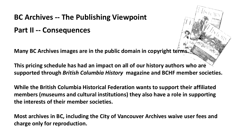# **BC Archives -- The Publishing Viewpoint**

## **Part II -- Consequences**

**Many BC Archives images are in the public domain in copyright terms.** 

**This pricing schedule has had an impact on all of our history authors who are supported through** *British Columbia History* **magazine and BCHF member societies.** 

**While the British Columbia Historical Federation wants to support their affiliated members (museums and cultural institutions) they also have a role in supporting the interests of their member societies.**

**Most archives in BC, including the City of Vancouver Archives waive user fees and charge only for reproduction.**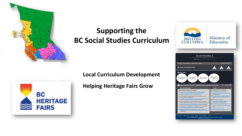![](_page_6_Picture_0.jpeg)

# **Supporting the BC Social Studies Curriculum**

#### **Local Curriculum Development**

**Helping Heritage Fairs Grow**

![](_page_6_Picture_4.jpeg)

![](_page_6_Picture_5.jpeg)

![](_page_6_Picture_6.jpeg)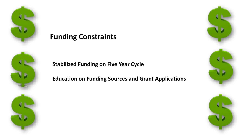![](_page_7_Picture_0.jpeg)

![](_page_7_Picture_1.jpeg)

![](_page_7_Picture_2.jpeg)

![](_page_7_Picture_3.jpeg)

**Stabilized Funding on Five Year Cycle**

**Education on Funding Sources and Grant Applications**

![](_page_7_Picture_6.jpeg)

![](_page_7_Picture_7.jpeg)